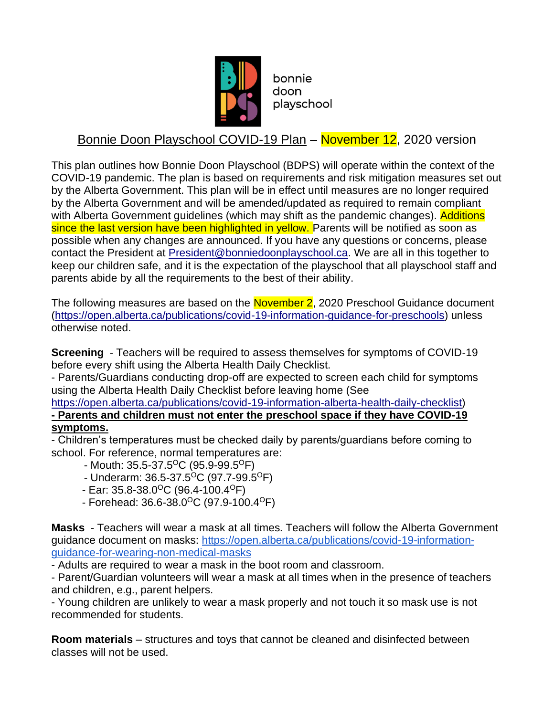

bonnie doon playschool

## Bonnie Doon Playschool COVID-19 Plan – November 12, 2020 version

This plan outlines how Bonnie Doon Playschool (BDPS) will operate within the context of the COVID-19 pandemic. The plan is based on requirements and risk mitigation measures set out by the Alberta Government. This plan will be in effect until measures are no longer required by the Alberta Government and will be amended/updated as required to remain compliant with Alberta Government guidelines (which may shift as the pandemic changes). Additions since the last version have been highlighted in yellow. Parents will be notified as soon as possible when any changes are announced. If you have any questions or concerns, please contact the President at [President@bonniedoonplayschool.ca.](mailto:President@bonniedoonplayschool.ca) We are all in this together to keep our children safe, and it is the expectation of the playschool that all playschool staff and parents abide by all the requirements to the best of their ability.

The following measures are based on the November 2, 2020 Preschool Guidance document [\(https://open.alberta.ca/publications/covid-19-information-guidance-for-preschools\)](https://open.alberta.ca/publications/covid-19-information-guidance-for-preschools) unless otherwise noted.

**Screening** - Teachers will be required to assess themselves for symptoms of COVID-19 before every shift using the Alberta Health Daily Checklist.

- Parents/Guardians conducting drop-off are expected to screen each child for symptoms using the Alberta Health Daily Checklist before leaving home (See

[https://open.alberta.ca/publications/covid-19-information-alberta-health-daily-checklist\)](https://open.alberta.ca/publications/covid-19-information-alberta-health-daily-checklist)

**- Parents and children must not enter the preschool space if they have COVID-19 symptoms.**

- Children's temperatures must be checked daily by parents/guardians before coming to school. For reference, normal temperatures are:

- Mouth:  $35.5 37.5$ <sup>o</sup>C (95.9-99.5<sup>o</sup>F)
- Underarm:  $36.5 37.5$ <sup>O</sup>C (97.7-99.5<sup>O</sup>F)
- $-$  Ear: 35.8-38.0<sup>o</sup>C (96.4-100.4<sup>o</sup>F)
- $-$  Forehead: 36.6-38.0<sup>o</sup>C (97.9-100.4<sup>o</sup>F)

**Masks** - Teachers will wear a mask at all times. Teachers will follow the Alberta Government guidance document on masks: [https://open.alberta.ca/publications/covid-19-information](https://open.alberta.ca/publications/covid-19-information-guidance-for-wearing-non-medical-masks)[guidance-for-wearing-non-medical-masks](https://open.alberta.ca/publications/covid-19-information-guidance-for-wearing-non-medical-masks)

- Adults are required to wear a mask in the boot room and classroom.

- Parent/Guardian volunteers will wear a mask at all times when in the presence of teachers and children, e.g., parent helpers.

- Young children are unlikely to wear a mask properly and not touch it so mask use is not recommended for students.

**Room materials** – structures and toys that cannot be cleaned and disinfected between classes will not be used.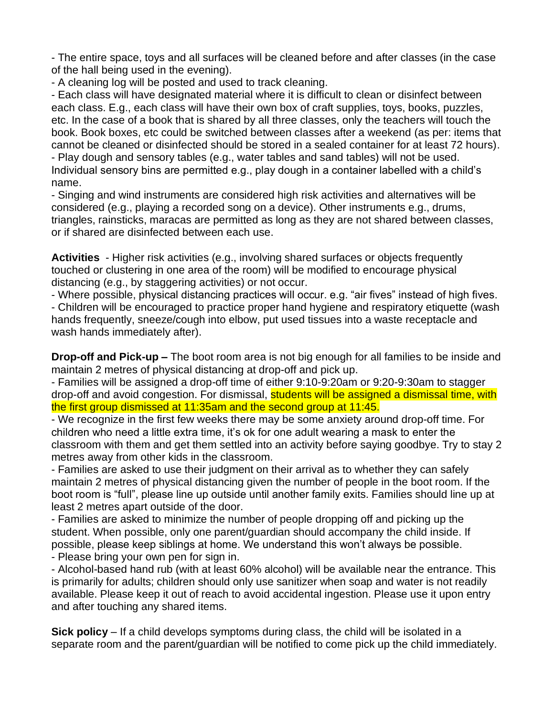- The entire space, toys and all surfaces will be cleaned before and after classes (in the case of the hall being used in the evening).

- A cleaning log will be posted and used to track cleaning.

- Each class will have designated material where it is difficult to clean or disinfect between each class. E.g., each class will have their own box of craft supplies, toys, books, puzzles, etc. In the case of a book that is shared by all three classes, only the teachers will touch the book. Book boxes, etc could be switched between classes after a weekend (as per: items that cannot be cleaned or disinfected should be stored in a sealed container for at least 72 hours).

- Play dough and sensory tables (e.g., water tables and sand tables) will not be used. Individual sensory bins are permitted e.g., play dough in a container labelled with a child's name.

- Singing and wind instruments are considered high risk activities and alternatives will be considered (e.g., playing a recorded song on a device). Other instruments e.g., drums, triangles, rainsticks, maracas are permitted as long as they are not shared between classes, or if shared are disinfected between each use.

**Activities** - Higher risk activities (e.g., involving shared surfaces or objects frequently touched or clustering in one area of the room) will be modified to encourage physical distancing (e.g., by staggering activities) or not occur.

- Where possible, physical distancing practices will occur. e.g. "air fives" instead of high fives.

- Children will be encouraged to practice proper hand hygiene and respiratory etiquette (wash hands frequently, sneeze/cough into elbow, put used tissues into a waste receptacle and wash hands immediately after).

**Drop-off and Pick-up –** The boot room area is not big enough for all families to be inside and maintain 2 metres of physical distancing at drop-off and pick up.

- Families will be assigned a drop-off time of either 9:10-9:20am or 9:20-9:30am to stagger drop-off and avoid congestion. For dismissal, students will be assigned a dismissal time, with the first group dismissed at 11:35am and the second group at 11:45.

- We recognize in the first few weeks there may be some anxiety around drop-off time. For children who need a little extra time, it's ok for one adult wearing a mask to enter the classroom with them and get them settled into an activity before saying goodbye. Try to stay 2 metres away from other kids in the classroom.

- Families are asked to use their judgment on their arrival as to whether they can safely maintain 2 metres of physical distancing given the number of people in the boot room. If the boot room is "full", please line up outside until another family exits. Families should line up at least 2 metres apart outside of the door.

- Families are asked to minimize the number of people dropping off and picking up the student. When possible, only one parent/guardian should accompany the child inside. If possible, please keep siblings at home. We understand this won't always be possible.

- Please bring your own pen for sign in.

- Alcohol-based hand rub (with at least 60% alcohol) will be available near the entrance. This is primarily for adults; children should only use sanitizer when soap and water is not readily available. Please keep it out of reach to avoid accidental ingestion. Please use it upon entry and after touching any shared items.

**Sick policy** – If a child develops symptoms during class, the child will be isolated in a separate room and the parent/guardian will be notified to come pick up the child immediately.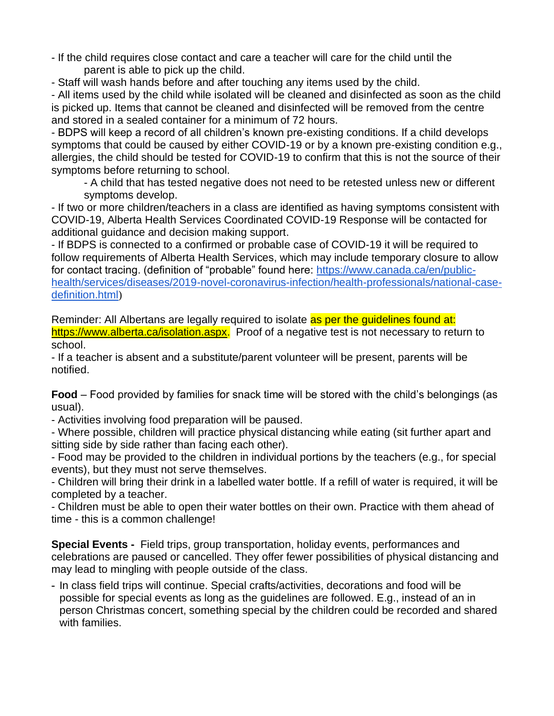- If the child requires close contact and care a teacher will care for the child until the parent is able to pick up the child.
- Staff will wash hands before and after touching any items used by the child.

- All items used by the child while isolated will be cleaned and disinfected as soon as the child is picked up. Items that cannot be cleaned and disinfected will be removed from the centre and stored in a sealed container for a minimum of 72 hours.

- BDPS will keep a record of all children's known pre-existing conditions. If a child develops symptoms that could be caused by either COVID-19 or by a known pre-existing condition e.g., allergies, the child should be tested for COVID-19 to confirm that this is not the source of their symptoms before returning to school.

- A child that has tested negative does not need to be retested unless new or different symptoms develop.

- If two or more children/teachers in a class are identified as having symptoms consistent with COVID-19, Alberta Health Services Coordinated COVID-19 Response will be contacted for additional guidance and decision making support.

- If BDPS is connected to a confirmed or probable case of COVID-19 it will be required to follow requirements of Alberta Health Services, which may include temporary closure to allow for contact tracing. (definition of "probable" found here: [https://www.canada.ca/en/public](https://www.canada.ca/en/public-health/services/diseases/2019-novel-coronavirus-infection/health-professionals/national-case-definition.html)[health/services/diseases/2019-novel-coronavirus-infection/health-professionals/national-case](https://www.canada.ca/en/public-health/services/diseases/2019-novel-coronavirus-infection/health-professionals/national-case-definition.html)[definition.html](https://www.canada.ca/en/public-health/services/diseases/2019-novel-coronavirus-infection/health-professionals/national-case-definition.html))

Reminder: All Albertans are legally required to isolate as per the quidelines found at: [https://www.alberta.ca/isolation.aspx.](https://www.alberta.ca/isolation.aspx) Proof of a negative test is not necessary to return to school.

- If a teacher is absent and a substitute/parent volunteer will be present, parents will be notified.

**Food** – Food provided by families for snack time will be stored with the child's belongings (as usual).

- Activities involving food preparation will be paused.

- Where possible, children will practice physical distancing while eating (sit further apart and sitting side by side rather than facing each other).

- Food may be provided to the children in individual portions by the teachers (e.g., for special events), but they must not serve themselves.

- Children will bring their drink in a labelled water bottle. If a refill of water is required, it will be completed by a teacher.

- Children must be able to open their water bottles on their own. Practice with them ahead of time - this is a common challenge!

**Special Events -** Field trips, group transportation, holiday events, performances and celebrations are paused or cancelled. They offer fewer possibilities of physical distancing and may lead to mingling with people outside of the class.

- In class field trips will continue. Special crafts/activities, decorations and food will be possible for special events as long as the guidelines are followed. E.g., instead of an in person Christmas concert, something special by the children could be recorded and shared with families.